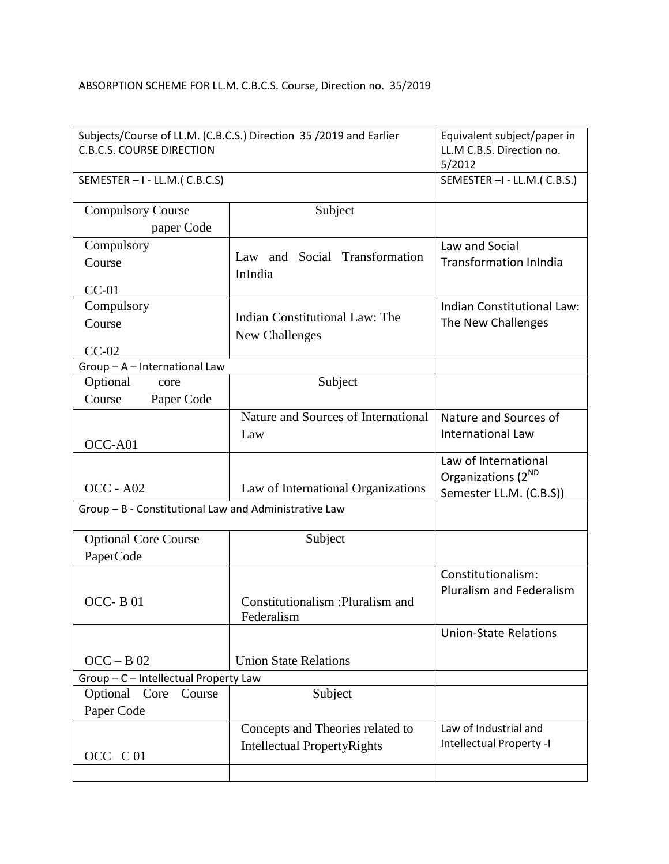## ABSORPTION SCHEME FOR LL.M. C.B.C.S. Course, Direction no. 35/2019

| Subjects/Course of LL.M. (C.B.C.S.) Direction 35 /2019 and Earlier<br><b>C.B.C.S. COURSE DIRECTION</b> |                                                  | Equivalent subject/paper in<br>LL.M C.B.S. Direction no.<br>5/2012                |
|--------------------------------------------------------------------------------------------------------|--------------------------------------------------|-----------------------------------------------------------------------------------|
| SEMESTER - I - LL.M.(C.B.C.S)                                                                          |                                                  | SEMESTER - I - LL.M. (C.B.S.)                                                     |
| <b>Compulsory Course</b>                                                                               | Subject                                          |                                                                                   |
| paper Code                                                                                             |                                                  |                                                                                   |
| Compulsory                                                                                             | Law and Social Transformation                    | Law and Social                                                                    |
| Course                                                                                                 | InIndia                                          | <b>Transformation InIndia</b>                                                     |
| $CC-01$                                                                                                |                                                  |                                                                                   |
| Compulsory                                                                                             |                                                  | Indian Constitutional Law:                                                        |
| Course                                                                                                 | Indian Constitutional Law: The<br>New Challenges | The New Challenges                                                                |
| $CC-02$                                                                                                |                                                  |                                                                                   |
| Group - A - International Law                                                                          |                                                  |                                                                                   |
| Optional<br>core                                                                                       | Subject                                          |                                                                                   |
| Course<br>Paper Code                                                                                   |                                                  |                                                                                   |
|                                                                                                        | Nature and Sources of International              | Nature and Sources of                                                             |
| OCC-A01                                                                                                | Law                                              | <b>International Law</b>                                                          |
| $OCC - A02$                                                                                            | Law of International Organizations               | Law of International<br>Organizations (2 <sup>ND</sup><br>Semester LL.M. (C.B.S)) |
| Group - B - Constitutional Law and Administrative Law                                                  |                                                  |                                                                                   |
| <b>Optional Core Course</b>                                                                            | Subject                                          |                                                                                   |
| PaperCode                                                                                              |                                                  |                                                                                   |
| OCC-B01                                                                                                | Constitutionalism : Pluralism and<br>Federalism  | Constitutionalism:<br><b>Pluralism and Federalism</b>                             |
|                                                                                                        |                                                  | <b>Union-State Relations</b>                                                      |
| $OCC - B$ 02                                                                                           | <b>Union State Relations</b>                     |                                                                                   |
| Group - C - Intellectual Property Law                                                                  |                                                  |                                                                                   |
| Optional<br>Core<br>Course                                                                             | Subject                                          |                                                                                   |
| Paper Code                                                                                             |                                                  |                                                                                   |
|                                                                                                        | Concepts and Theories related to                 | Law of Industrial and                                                             |
| $OCC - C$ 01                                                                                           | <b>Intellectual PropertyRights</b>               | Intellectual Property -I                                                          |
|                                                                                                        |                                                  |                                                                                   |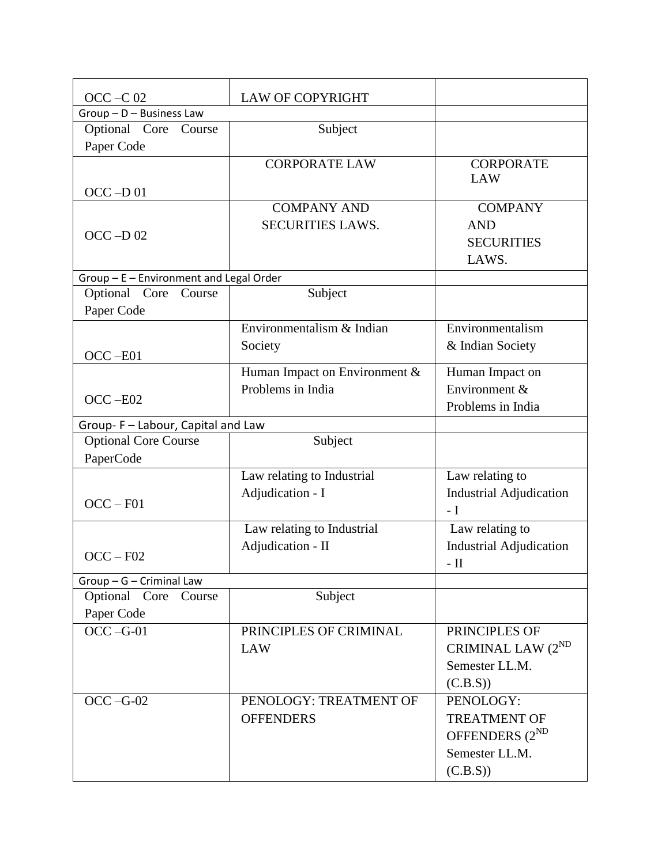| $OCC - C$ 02                            | <b>LAW OF COPYRIGHT</b>       |                                |
|-----------------------------------------|-------------------------------|--------------------------------|
| Group - D - Business Law                |                               |                                |
| Optional Core Course                    | Subject                       |                                |
| Paper Code                              |                               |                                |
|                                         | <b>CORPORATE LAW</b>          | <b>CORPORATE</b>               |
|                                         |                               | LAW                            |
| $OCC - D01$                             |                               |                                |
|                                         | <b>COMPANY AND</b>            | <b>COMPANY</b>                 |
| $OCC - D$ 02                            | <b>SECURITIES LAWS.</b>       | <b>AND</b>                     |
|                                         |                               | <b>SECURITIES</b>              |
|                                         |                               | LAWS.                          |
| Group - E - Environment and Legal Order |                               |                                |
| Optional Core<br>Course                 | Subject                       |                                |
| Paper Code                              |                               |                                |
|                                         | Environmentalism & Indian     | Environmentalism               |
|                                         | Society                       | & Indian Society               |
| $OCC - E01$                             |                               |                                |
|                                         | Human Impact on Environment & | Human Impact on                |
| $OCC - E02$                             | Problems in India             | Environment &                  |
|                                         |                               | Problems in India              |
| Group- F - Labour, Capital and Law      |                               |                                |
| <b>Optional Core Course</b>             | Subject                       |                                |
| PaperCode                               |                               |                                |
|                                         | Law relating to Industrial    | Law relating to                |
|                                         | Adjudication - I              | <b>Industrial Adjudication</b> |
| $OCC - F01$                             |                               | $-I$                           |
|                                         | Law relating to Industrial    | Law relating to                |
|                                         | Adjudication - II             | <b>Industrial Adjudication</b> |
| $OCC - F02$                             |                               | $-$ II                         |
| Group - G - Criminal Law                |                               |                                |
| Optional Core<br>Course                 | Subject                       |                                |
| Paper Code                              |                               |                                |
| $OCC - G-01$                            | PRINCIPLES OF CRIMINAL        | PRINCIPLES OF                  |
|                                         | <b>LAW</b>                    | CRIMINAL LAW (2 <sup>ND</sup>  |
|                                         |                               |                                |
|                                         |                               | Semester LL.M.                 |
|                                         |                               | (C.B.S))                       |
| $OCC - G-02$                            | PENOLOGY: TREATMENT OF        | PENOLOGY:                      |
|                                         | <b>OFFENDERS</b>              | <b>TREATMENT OF</b>            |
|                                         |                               | OFFENDERS $(2^{ND}$            |
|                                         |                               | Semester LL.M.                 |
|                                         |                               | (C.B.S))                       |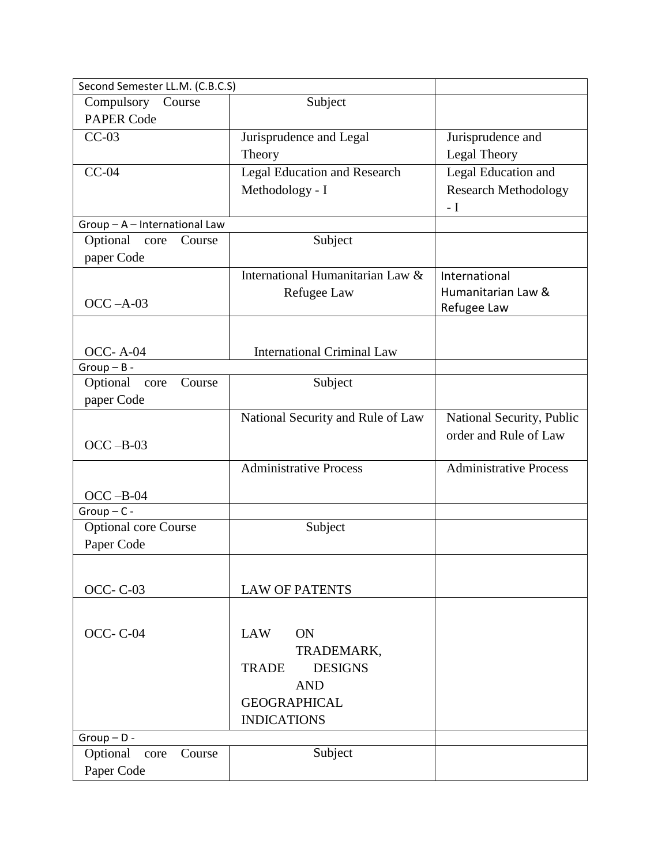| Second Semester LL.M. (C.B.C.S) |                                     |                               |
|---------------------------------|-------------------------------------|-------------------------------|
| Compulsory Course               | Subject                             |                               |
| <b>PAPER Code</b>               |                                     |                               |
| $CC-03$                         | Jurisprudence and Legal             | Jurisprudence and             |
|                                 | Theory                              | Legal Theory                  |
| $CC-04$                         | <b>Legal Education and Research</b> | Legal Education and           |
|                                 | Methodology - I                     | <b>Research Methodology</b>   |
|                                 |                                     | $-I$                          |
| Group - A - International Law   |                                     |                               |
| Optional core<br>Course         | Subject                             |                               |
| paper Code                      |                                     |                               |
|                                 | International Humanitarian Law $\&$ | International                 |
|                                 | Refugee Law                         | Humanitarian Law &            |
| $OCC - A-03$                    |                                     | Refugee Law                   |
|                                 |                                     |                               |
|                                 |                                     |                               |
| <b>OCC-A-04</b>                 | <b>International Criminal Law</b>   |                               |
| $Group - B -$                   |                                     |                               |
| Optional<br>Course<br>core      | Subject                             |                               |
| paper Code                      |                                     |                               |
|                                 | National Security and Rule of Law   | National Security, Public     |
| $OCC - B-03$                    |                                     | order and Rule of Law         |
|                                 |                                     |                               |
|                                 | <b>Administrative Process</b>       | <b>Administrative Process</b> |
| $OCC - B-04$                    |                                     |                               |
| $Group-C-$                      |                                     |                               |
| <b>Optional core Course</b>     | Subject                             |                               |
| Paper Code                      |                                     |                               |
|                                 |                                     |                               |
|                                 |                                     |                               |
| <b>OCC-C-03</b>                 | <b>LAW OF PATENTS</b>               |                               |
|                                 |                                     |                               |
|                                 |                                     |                               |
| <b>OCC-C-04</b>                 | <b>LAW</b><br><b>ON</b>             |                               |
|                                 | TRADEMARK,                          |                               |
|                                 | <b>DESIGNS</b><br><b>TRADE</b>      |                               |
|                                 | <b>AND</b>                          |                               |
|                                 | <b>GEOGRAPHICAL</b>                 |                               |
|                                 | <b>INDICATIONS</b>                  |                               |
| $Group - D -$                   |                                     |                               |
| Optional<br>Course<br>core      | Subject                             |                               |
| Paper Code                      |                                     |                               |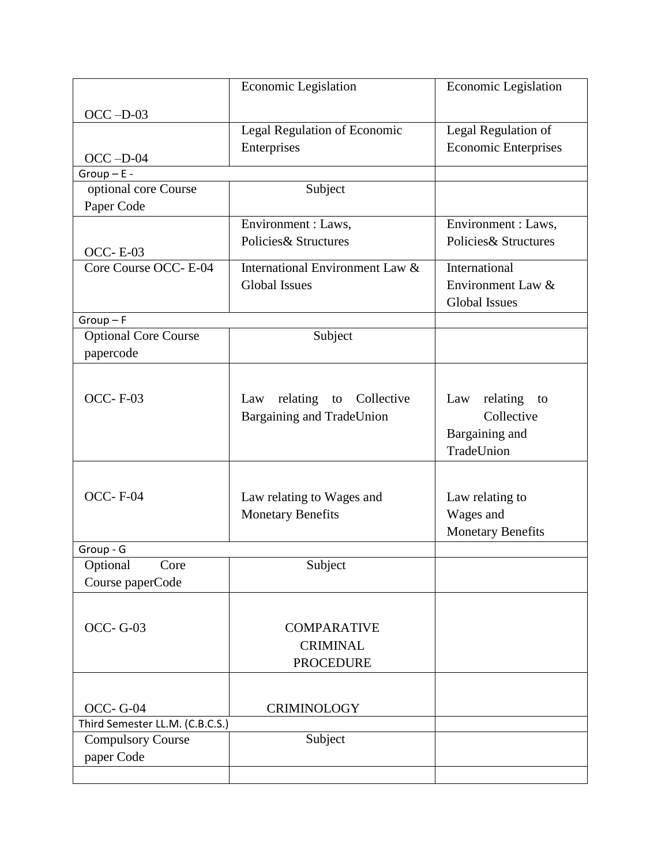|                                 | Economic Legislation             | Economic Legislation        |
|---------------------------------|----------------------------------|-----------------------------|
| $OCC - D-03$                    |                                  |                             |
|                                 | Legal Regulation of Economic     | Legal Regulation of         |
|                                 | Enterprises                      | <b>Economic Enterprises</b> |
| $OCC - D-04$                    |                                  |                             |
| $Group - E -$                   |                                  |                             |
| optional core Course            | Subject                          |                             |
| Paper Code                      |                                  |                             |
|                                 | Environment : Laws,              | Environment : Laws,         |
| <b>OCC-E-03</b>                 | Policies & Structures            | Policies& Structures        |
| Core Course OCC- E-04           | International Environment Law &  | International               |
|                                 | <b>Global Issues</b>             | Environment Law &           |
|                                 |                                  | <b>Global Issues</b>        |
| $Group-F$                       |                                  |                             |
| <b>Optional Core Course</b>     | Subject                          |                             |
| papercode                       |                                  |                             |
|                                 |                                  |                             |
|                                 |                                  |                             |
| <b>OCC-F-03</b>                 | relating to Collective<br>Law    | relating<br>Law<br>to       |
|                                 | <b>Bargaining and TradeUnion</b> | Collective                  |
|                                 |                                  | Bargaining and              |
|                                 |                                  | TradeUnion                  |
|                                 |                                  |                             |
| <b>OCC-F-04</b>                 | Law relating to Wages and        | Law relating to             |
|                                 | <b>Monetary Benefits</b>         | Wages and                   |
|                                 |                                  | <b>Monetary Benefits</b>    |
| Group - G                       |                                  |                             |
| Optional<br>Core                | Subject                          |                             |
| Course paperCode                |                                  |                             |
|                                 |                                  |                             |
|                                 |                                  |                             |
| <b>OCC-G-03</b>                 | <b>COMPARATIVE</b>               |                             |
|                                 | <b>CRIMINAL</b>                  |                             |
|                                 | <b>PROCEDURE</b>                 |                             |
|                                 |                                  |                             |
| <b>OCC-G-04</b>                 | <b>CRIMINOLOGY</b>               |                             |
| Third Semester LL.M. (C.B.C.S.) |                                  |                             |
| <b>Compulsory Course</b>        | Subject                          |                             |
| paper Code                      |                                  |                             |
|                                 |                                  |                             |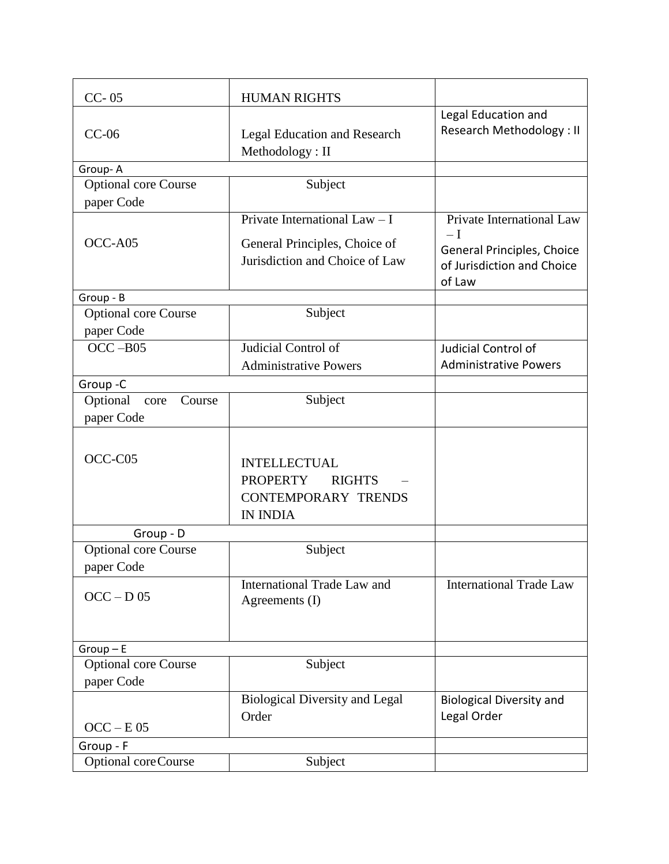| $CC - 05$                                 | <b>HUMAN RIGHTS</b>                                                                                      |                                                                            |
|-------------------------------------------|----------------------------------------------------------------------------------------------------------|----------------------------------------------------------------------------|
| $CC-06$                                   | <b>Legal Education and Research</b><br>Methodology: II                                                   | Legal Education and<br><b>Research Methodology: II</b>                     |
| Group-A                                   |                                                                                                          |                                                                            |
| <b>Optional core Course</b>               | Subject                                                                                                  |                                                                            |
| paper Code                                |                                                                                                          |                                                                            |
|                                           | Private International Law $- I$                                                                          | Private International Law                                                  |
| OCC-A05                                   | General Principles, Choice of<br>Jurisdiction and Choice of Law                                          | $-I$<br>General Principles, Choice<br>of Jurisdiction and Choice<br>of Law |
| Group - B                                 |                                                                                                          |                                                                            |
| <b>Optional core Course</b>               | Subject                                                                                                  |                                                                            |
| paper Code                                |                                                                                                          |                                                                            |
| $OCC - B05$                               | Judicial Control of                                                                                      | Judicial Control of                                                        |
|                                           | <b>Administrative Powers</b>                                                                             | <b>Administrative Powers</b>                                               |
| Group-C                                   |                                                                                                          |                                                                            |
| Optional<br>Course<br>core                | Subject                                                                                                  |                                                                            |
| paper Code                                |                                                                                                          |                                                                            |
|                                           |                                                                                                          |                                                                            |
| OCC-C05                                   | <b>INTELLECTUAL</b><br><b>PROPERTY</b><br><b>RIGHTS</b><br><b>CONTEMPORARY TRENDS</b><br><b>IN INDIA</b> |                                                                            |
| Group - D                                 |                                                                                                          |                                                                            |
| <b>Optional core Course</b><br>paper Code | Subject                                                                                                  |                                                                            |
| $OCC - D$ 05                              | International Trade Law and<br>Agreements (I)                                                            | <b>International Trade Law</b>                                             |
| $Group - E$                               |                                                                                                          |                                                                            |
| <b>Optional core Course</b>               | Subject                                                                                                  |                                                                            |
| paper Code                                |                                                                                                          |                                                                            |
|                                           | <b>Biological Diversity and Legal</b>                                                                    | <b>Biological Diversity and</b>                                            |
|                                           | Order                                                                                                    | Legal Order                                                                |
| $OCC - E05$                               |                                                                                                          |                                                                            |
| Group - F                                 |                                                                                                          |                                                                            |
| Optional coreCourse                       | Subject                                                                                                  |                                                                            |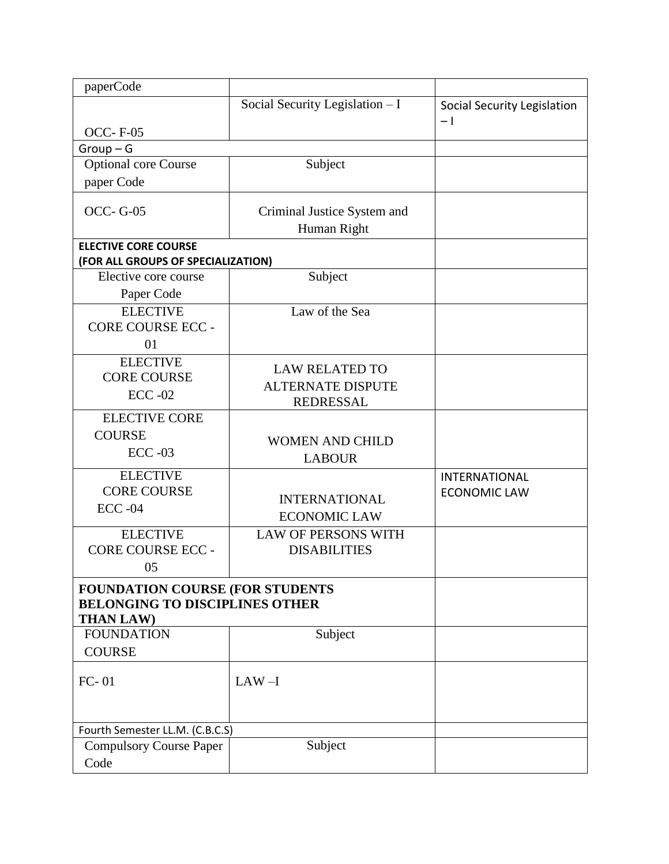| paperCode                                                                        |                                 |                             |
|----------------------------------------------------------------------------------|---------------------------------|-----------------------------|
|                                                                                  | Social Security Legislation - I | Social Security Legislation |
|                                                                                  |                                 | $-1$                        |
| <b>OCC-F-05</b>                                                                  |                                 |                             |
| $Group-G$                                                                        |                                 |                             |
| <b>Optional core Course</b>                                                      | Subject                         |                             |
| paper Code                                                                       |                                 |                             |
| <b>OCC-G-05</b>                                                                  | Criminal Justice System and     |                             |
|                                                                                  | Human Right                     |                             |
| <b>ELECTIVE CORE COURSE</b>                                                      |                                 |                             |
| (FOR ALL GROUPS OF SPECIALIZATION)                                               |                                 |                             |
| Elective core course                                                             | Subject                         |                             |
| Paper Code                                                                       |                                 |                             |
| <b>ELECTIVE</b>                                                                  | Law of the Sea                  |                             |
| <b>CORE COURSE ECC -</b>                                                         |                                 |                             |
| 01                                                                               |                                 |                             |
| <b>ELECTIVE</b>                                                                  |                                 |                             |
| <b>CORE COURSE</b>                                                               | <b>LAW RELATED TO</b>           |                             |
| $ECC -02$                                                                        | <b>ALTERNATE DISPUTE</b>        |                             |
| <b>ELECTIVE CORE</b>                                                             | <b>REDRESSAL</b>                |                             |
|                                                                                  |                                 |                             |
| <b>COURSE</b>                                                                    | <b>WOMEN AND CHILD</b>          |                             |
| $ECC -03$                                                                        | <b>LABOUR</b>                   |                             |
| <b>ELECTIVE</b>                                                                  |                                 | <b>INTERNATIONAL</b>        |
| <b>CORE COURSE</b>                                                               | <b>INTERNATIONAL</b>            | <b>ECONOMIC LAW</b>         |
| $ECC -04$                                                                        | <b>ECONOMIC LAW</b>             |                             |
| <b>ELECTIVE</b>                                                                  | <b>LAW OF PERSONS WITH</b>      |                             |
| <b>CORE COURSE ECC -</b>                                                         | <b>DISABILITIES</b>             |                             |
| 05                                                                               |                                 |                             |
|                                                                                  |                                 |                             |
| <b>FOUNDATION COURSE (FOR STUDENTS)</b><br><b>BELONGING TO DISCIPLINES OTHER</b> |                                 |                             |
| <b>THAN LAW)</b>                                                                 |                                 |                             |
| <b>FOUNDATION</b>                                                                | Subject                         |                             |
| <b>COURSE</b>                                                                    |                                 |                             |
|                                                                                  |                                 |                             |
| $FC-01$                                                                          | $LAW-I$                         |                             |
|                                                                                  |                                 |                             |
|                                                                                  |                                 |                             |
| Fourth Semester LL.M. (C.B.C.S)                                                  |                                 |                             |
| <b>Compulsory Course Paper</b>                                                   | Subject                         |                             |
| Code                                                                             |                                 |                             |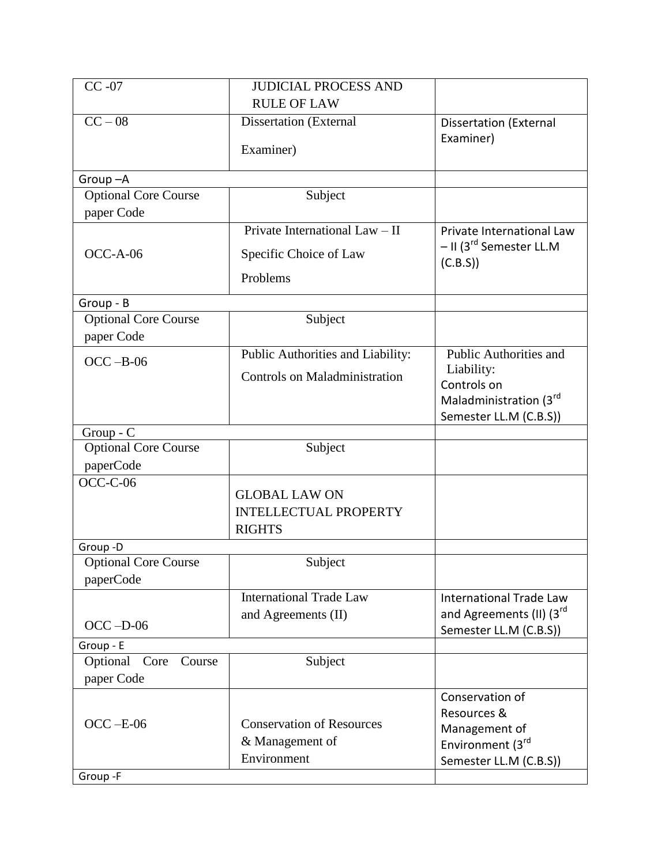| $CC -07$                                | <b>JUDICIAL PROCESS AND</b>          |                                                 |
|-----------------------------------------|--------------------------------------|-------------------------------------------------|
|                                         | <b>RULE OF LAW</b>                   |                                                 |
| $CC - 08$                               | Dissertation (External               | <b>Dissertation (External</b>                   |
|                                         |                                      | Examiner)                                       |
|                                         | Examiner)                            |                                                 |
| Group-A                                 |                                      |                                                 |
| <b>Optional Core Course</b>             | Subject                              |                                                 |
| paper Code                              |                                      |                                                 |
|                                         | Private International Law - II       | Private International Law                       |
| $OCC-A-06$                              | Specific Choice of Law               | - II (3 <sup>rd</sup> Semester LL.M<br>(C.B.S)) |
|                                         | Problems                             |                                                 |
| Group - B                               |                                      |                                                 |
| <b>Optional Core Course</b>             | Subject                              |                                                 |
| paper Code                              |                                      |                                                 |
| $OCC - B-06$                            | Public Authorities and Liability:    | Public Authorities and                          |
|                                         | <b>Controls on Maladministration</b> | Liability:                                      |
|                                         |                                      | Controls on                                     |
|                                         |                                      | Maladministration (3rd                          |
| Group - C                               |                                      | Semester LL.M (C.B.S))                          |
| <b>Optional Core Course</b>             | Subject                              |                                                 |
| paperCode                               |                                      |                                                 |
| $OCC-C-06$                              |                                      |                                                 |
|                                         | <b>GLOBAL LAW ON</b>                 |                                                 |
|                                         | <b>INTELLECTUAL PROPERTY</b>         |                                                 |
|                                         | <b>RIGHTS</b>                        |                                                 |
| Group-D                                 |                                      |                                                 |
| <b>Optional Core Course</b>             | Subject                              |                                                 |
| paperCode                               |                                      |                                                 |
|                                         | <b>International Trade Law</b>       | <b>International Trade Law</b>                  |
| $OCC - D-06$                            | and Agreements (II)                  | and Agreements (II) (3rd                        |
|                                         |                                      | Semester LL.M (C.B.S))                          |
| Group - E<br>Optional<br>Core<br>Course | Subject                              |                                                 |
| paper Code                              |                                      |                                                 |
|                                         |                                      | Conservation of                                 |
|                                         |                                      | Resources &                                     |
| $OCC - E-06$                            | <b>Conservation of Resources</b>     | Management of                                   |
|                                         | & Management of                      | Environment (3rd                                |
|                                         | Environment                          | Semester LL.M (C.B.S))                          |
| Group-F                                 |                                      |                                                 |